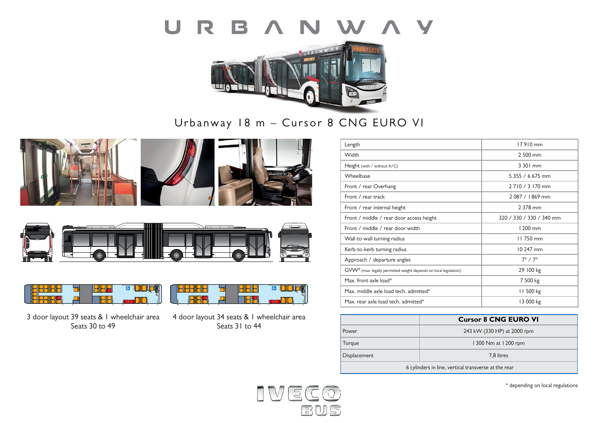



Urbanway 18 m – Cursor 8 CNG EURO VI









3 door layout 39 seats & 1 wheelchair area Seats 30 to 49

| 4 door layout 34 seats & 1 wheelchair area |
|--------------------------------------------|
| Seats 31 to 44                             |

o

**AUGHL** 

**B**BE

| Length                                                                        | 17910 mm                 |
|-------------------------------------------------------------------------------|--------------------------|
| Width                                                                         | 2 500 mm                 |
| Height (with / without A/C)                                                   | 3 301 mm                 |
| Wheelbase                                                                     | 5 355 / 6 675 mm         |
| Front / rear Overhang                                                         | 2710/3170 mm             |
| Front / rear track                                                            | $2.087 / 1.869$ mm       |
| Front / rear internal height                                                  | 2 378 mm                 |
| Front / middle / rear door access height                                      | 320 / 330 / 330 / 340 mm |
| Front / middle / rear door width                                              | 1200 mm                  |
| Wall-to-wall turning radius                                                   | 11750 mm                 |
| Kerb-to-kerb turning radius                                                   | 10 247 mm                |
| Approach / departure angles                                                   | $7^\circ / 7^\circ$      |
| GVW <sup>*</sup> (max. legally permitted weight depends on local legislation) | 29 100 kg                |
| Max. front axle load*                                                         | 7 500 kg                 |
| Max. middle axle load tech. admitted*                                         | 11 500 kg                |
| Max, rear axle load tech, admitted*                                           | 13 000 kg                |

|                                                      | <b>Cursor 8 CNG EURO VI</b> |  |
|------------------------------------------------------|-----------------------------|--|
| <b>Power</b>                                         | 243 kW (330 HP) at 2000 rpm |  |
| Torque                                               | 1300 Nm at 1200 rpm         |  |
| <b>Displacement</b>                                  | 7.8 litres                  |  |
| 6 cylinders in line, vertical transverse at the rear |                             |  |



**B** DOCX

\* depending on local regulations